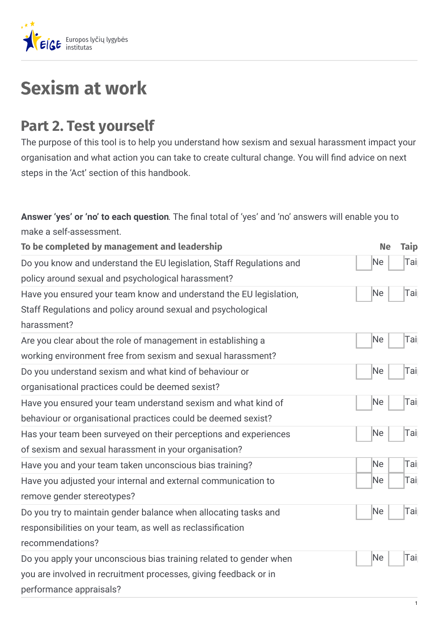

## **Sexism at work**

## **Part 2. Test yourself**

The purpose of this tool is to help you understand how sexism and sexual harassment impact your organisation and what action you can take to create cultural change. You will find advice on next steps in the 'Act' section of this handbook.

Answer 'yes' or 'no' to each question. The final total of 'yes' and 'no' answers will enable you to make a self-assessment.

| To be completed by management and leadership                                                                                                                      | <b>Ne</b> | <b>Taip</b> |
|-------------------------------------------------------------------------------------------------------------------------------------------------------------------|-----------|-------------|
| Do you know and understand the EU legislation, Staff Regulations and<br>policy around sexual and psychological harassment?                                        | Ne        | Tai         |
| Have you ensured your team know and understand the EU legislation,                                                                                                | Ne        | Tai         |
| Staff Regulations and policy around sexual and psychological<br>harassment?                                                                                       |           |             |
| Are you clear about the role of management in establishing a<br>working environment free from sexism and sexual harassment?                                       | Ne        | Tai         |
| Do you understand sexism and what kind of behaviour or<br>organisational practices could be deemed sexist?                                                        | Ne        | Tai         |
| Have you ensured your team understand sexism and what kind of<br>behaviour or organisational practices could be deemed sexist?                                    | Ne        | Tai         |
| Has your team been surveyed on their perceptions and experiences<br>of sexism and sexual harassment in your organisation?                                         | Ne        | Tai         |
| Have you and your team taken unconscious bias training?                                                                                                           | Ne        | Tai         |
| Have you adjusted your internal and external communication to<br>remove gender stereotypes?                                                                       | Ne        | Tai         |
| Do you try to maintain gender balance when allocating tasks and<br>responsibilities on your team, as well as reclassification<br>recommendations?                 | Ne        | Tai         |
| Do you apply your unconscious bias training related to gender when<br>you are involved in recruitment processes, giving feedback or in<br>performance appraisals? | Ne        | Tai         |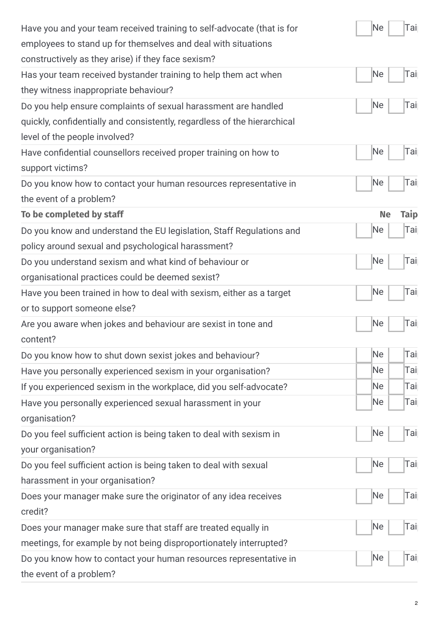| Have you and your team received training to self-advocate (that is for   | Ne<br>Tai                |
|--------------------------------------------------------------------------|--------------------------|
| employees to stand up for themselves and deal with situations            |                          |
| constructively as they arise) if they face sexism?                       |                          |
| Has your team received bystander training to help them act when          | Tai<br>Ne                |
| they witness inappropriate behaviour?                                    |                          |
| Do you help ensure complaints of sexual harassment are handled           | Tai<br>Ne                |
| quickly, confidentially and consistently, regardless of the hierarchical |                          |
| level of the people involved?                                            |                          |
| Have confidential counsellors received proper training on how to         | Tai<br>Ne                |
| support victims?                                                         |                          |
| Do you know how to contact your human resources representative in        | Tai<br>Ne                |
| the event of a problem?                                                  |                          |
| To be completed by staff                                                 | <b>Taip</b><br><b>Ne</b> |
| Do you know and understand the EU legislation, Staff Regulations and     | Tai<br>Ne                |
| policy around sexual and psychological harassment?                       |                          |
| Do you understand sexism and what kind of behaviour or                   | Tai<br>Ne                |
| organisational practices could be deemed sexist?                         |                          |
| Have you been trained in how to deal with sexism, either as a target     | Ne<br>Tai                |
| or to support someone else?                                              |                          |
| Are you aware when jokes and behaviour are sexist in tone and            | Tai<br>Νe                |
| content?                                                                 |                          |
| Do you know how to shut down sexist jokes and behaviour?                 | Ne<br>Tai                |
| Have you personally experienced sexism in your organisation?             | Tai<br>Ne.               |
| If you experienced sexism in the workplace, did you self-advocate?       | Ne.<br>Tai               |
| Have you personally experienced sexual harassment in your                | Tai<br>Ne                |
| organisation?                                                            |                          |
| Do you feel sufficient action is being taken to deal with sexism in      | Tai<br>Ne                |
| your organisation?                                                       |                          |
| Do you feel sufficient action is being taken to deal with sexual         | Tai<br>Ne                |
| harassment in your organisation?                                         |                          |
| Does your manager make sure the originator of any idea receives          | Tai<br>Ne                |
| credit?                                                                  |                          |
| Does your manager make sure that staff are treated equally in            | Tai<br>Ne                |
| meetings, for example by not being disproportionately interrupted?       |                          |
| Do you know how to contact your human resources representative in        | Tai<br>Ne                |
| the event of a problem?                                                  |                          |